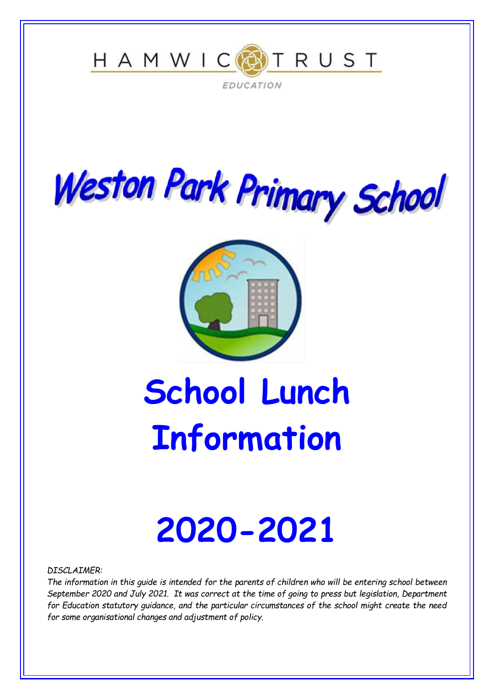





# **School Lunch Information**

# **2020-2021**

*DISCLAIMER:*

*The information in this guide is intended for the parents of children who will be entering school between September 2020 and July 2021. It was correct at the time of going to press but legislation, Department for Education statutory guidance, and the particular circumstances of the school might create the need for some organisational changes and adjustment of policy.*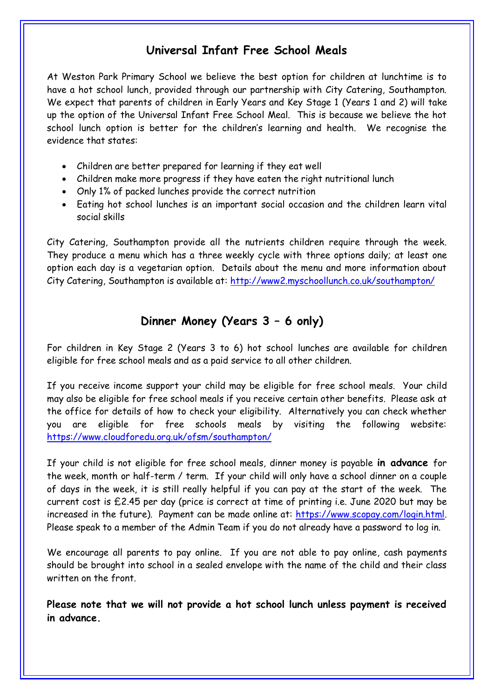# **Universal Infant Free School Meals**

At Weston Park Primary School we believe the best option for children at lunchtime is to have a hot school lunch, provided through our partnership with City Catering, Southampton. We expect that parents of children in Early Years and Key Stage 1 (Years 1 and 2) will take up the option of the Universal Infant Free School Meal. This is because we believe the hot school lunch option is better for the children's learning and health. We recognise the evidence that states:

- Children are better prepared for learning if they eat well
- Children make more progress if they have eaten the right nutritional lunch
- Only 1% of packed lunches provide the correct nutrition
- Eating hot school lunches is an important social occasion and the children learn vital social skills

City Catering, Southampton provide all the nutrients children require through the week. They produce a menu which has a three weekly cycle with three options daily; at least one option each day is a vegetarian option. Details about the menu and more information about City Catering, Southampton is available at:<http://www2.myschoollunch.co.uk/southampton/>

# **Dinner Money (Years 3 – 6 only)**

For children in Key Stage 2 (Years 3 to 6) hot school lunches are available for children eligible for free school meals and as a paid service to all other children.

If you receive income support your child may be eligible for free school meals. Your child may also be eligible for free school meals if you receive certain other benefits. Please ask at the office for details of how to check your eligibility. Alternatively you can check whether you are eligible for free schools meals by visiting the following website: <https://www.cloudforedu.org.uk/ofsm/southampton/>

If your child is not eligible for free school meals, dinner money is payable **in advance** for the week, month or half-term / term. If your child will only have a school dinner on a couple of days in the week, it is still really helpful if you can pay at the start of the week. The current cost is £2.45 per day (price is correct at time of printing i.e. June 2020 but may be increased in the future). Payment can be made online at: [https://www.scopay.com/login.html.](https://www.scopay.com/login.html) Please speak to a member of the Admin Team if you do not already have a password to log in.

We encourage all parents to pay online. If you are not able to pay online, cash payments should be brought into school in a sealed envelope with the name of the child and their class written on the front.

**Please note that we will not provide a hot school lunch unless payment is received in advance.**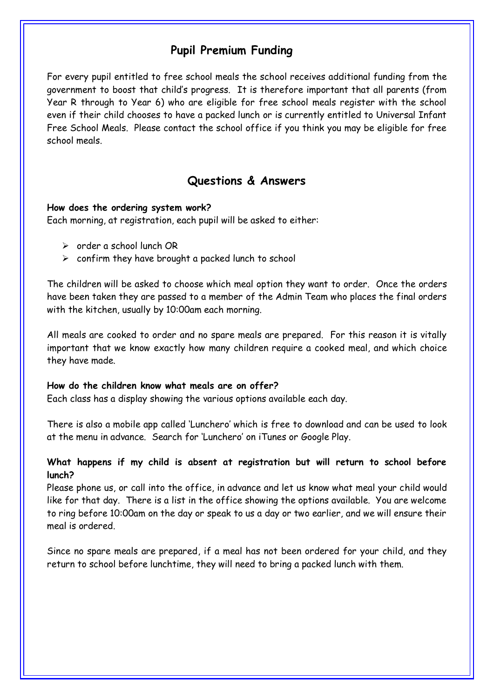# **Pupil Premium Funding**

For every pupil entitled to free school meals the school receives additional funding from the government to boost that child's progress. It is therefore important that all parents (from Year R through to Year 6) who are eligible for free school meals register with the school even if their child chooses to have a packed lunch or is currently entitled to Universal Infant Free School Meals. Please contact the school office if you think you may be eligible for free school meals.

### **Questions & Answers**

#### **How does the ordering system work?**

Each morning, at registration, each pupil will be asked to either:

- $\geq$  order a school lunch OR
- $\triangleright$  confirm they have brought a packed lunch to school

The children will be asked to choose which meal option they want to order. Once the orders have been taken they are passed to a member of the Admin Team who places the final orders with the kitchen, usually by 10:00am each morning.

All meals are cooked to order and no spare meals are prepared. For this reason it is vitally important that we know exactly how many children require a cooked meal, and which choice they have made.

#### **How do the children know what meals are on offer?**

Each class has a display showing the various options available each day.

There is also a mobile app called 'Lunchero' which is free to download and can be used to look at the menu in advance. Search for 'Lunchero' on iTunes or Google Play.

#### **What happens if my child is absent at registration but will return to school before lunch?**

Please phone us, or call into the office, in advance and let us know what meal your child would like for that day. There is a list in the office showing the options available. You are welcome to ring before 10:00am on the day or speak to us a day or two earlier, and we will ensure their meal is ordered.

Since no spare meals are prepared, if a meal has not been ordered for your child, and they return to school before lunchtime, they will need to bring a packed lunch with them.